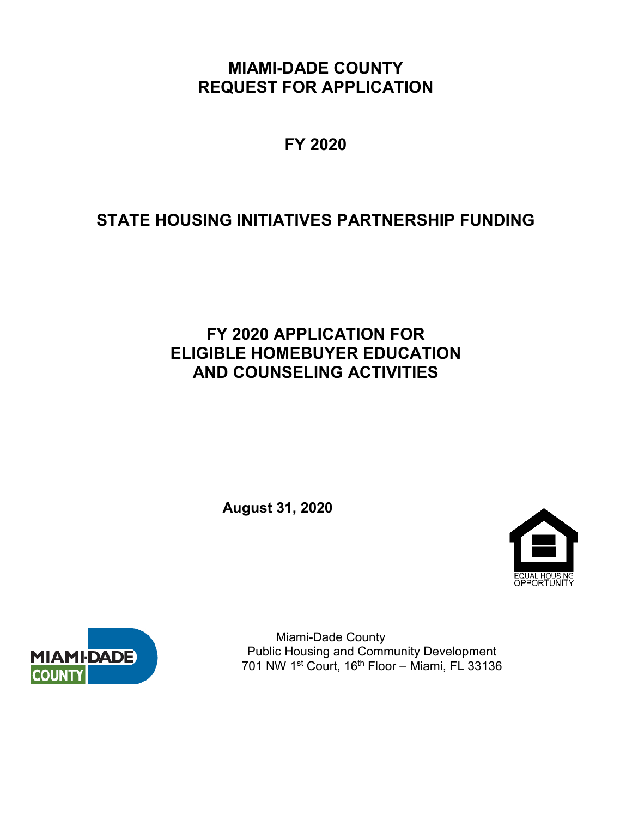**MIAMI-DADE COUNTY REQUEST FOR APPLICATION**

**FY 2020**

# **STATE HOUSING INITIATIVES PARTNERSHIP FUNDING**

# **FY 2020 APPLICATION FOR ELIGIBLE HOMEBUYER EDUCATION AND COUNSELING ACTIVITIES**

**August 31, 2020**





 Miami-Dade County Public Housing and Community Development 701 NW 1st Court, 16th Floor – Miami, FL 33136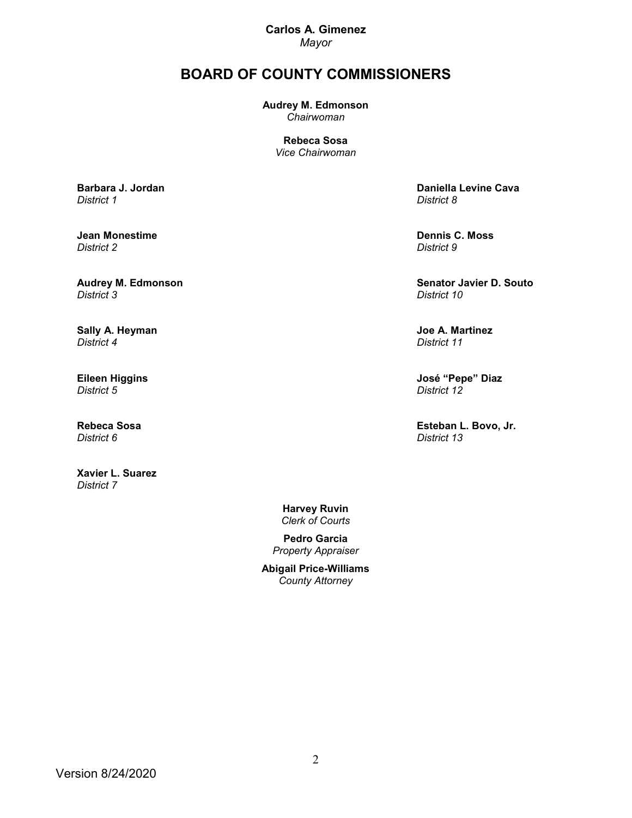**Carlos A. Gimenez** *Mayor*

# **BOARD OF COUNTY COMMISSIONERS**

**Audrey M. Edmonson** *Chairwoman*

> **Rebeca Sosa** *Vice Chairwoman*

**[Barbara J. Jordan](http://www.miamidade.gov/district01/home.asp)** *District 1*

**Jean Monestime**  *District 2*

**[Audrey M. Edmonson](http://www.miamidade.gov/district03/home.asp)** *District 3*

**[Sally A. Heyman](http://www.miamidade.gov/district04/home.asp)** *District 4*

**Eileen Higgins** *District 5*

**[Rebeca Sosa](http://www.miamidade.gov/district06/home.asp)** *District 6*

**Xavier L. Suarez**  *District 7*

**Daniella Levine Cava** *District 8*

**[Dennis C. Moss](http://www.miamidade.gov/officeofthechair)** *District 9*

**[Senator Javier D. Souto](http://www.miamidade.gov/district10/home.asp)** *District 10*

**Joe A. Martinez** *District 11*

**[José "Pepe" Diaz](http://www.miamidade.gov/district12/home.asp)** *District 12*

**Esteban L. Bovo, Jr.**  *District 13*

**Harvey Ruvin** *Clerk of Courts*

**Pedro Garcia** *Property Appraiser*

**Abigail Price-Williams** *County Attorney*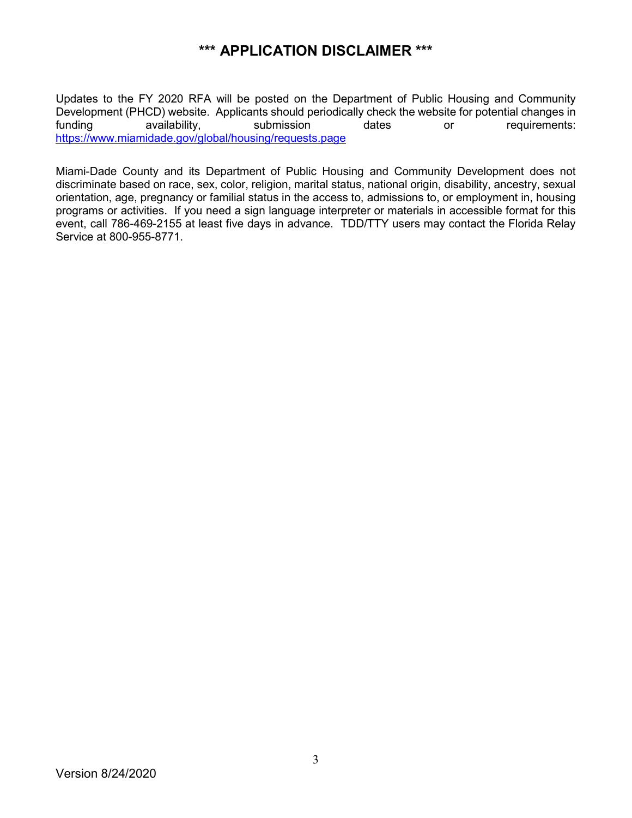# **\*\*\* APPLICATION DISCLAIMER \*\*\***

Updates to the FY 2020 RFA will be posted on the Department of Public Housing and Community Development (PHCD) website. Applicants should periodically check the website for potential changes in<br>funding availability, submission dates or requirements: funding availability, submission dates or requirements: [https://www.miamidade.gov/global/housing/requests.page](https://www8.miamidade.gov/global/housing/requests.page)

Miami-Dade County and its Department of Public Housing and Community Development does not discriminate based on race, sex, color, religion, marital status, national origin, disability, ancestry, sexual orientation, age, pregnancy or familial status in the access to, admissions to, or employment in, housing programs or activities. If you need a sign language interpreter or materials in accessible format for this event, call 786-469-2155 at least five days in advance. TDD/TTY users may contact the Florida Relay Service at 800-955-8771.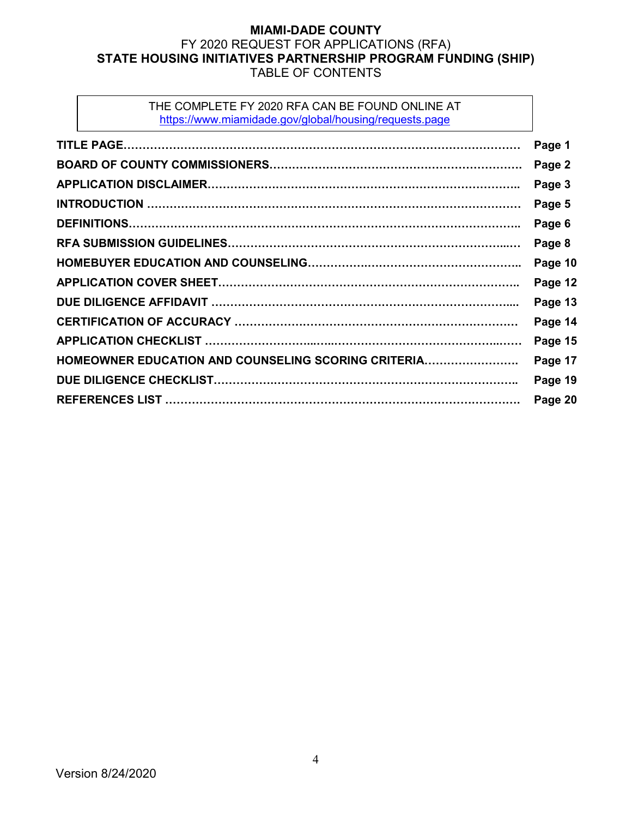## **MIAMI-DADE COUNTY** FY 2020 REQUEST FOR APPLICATIONS (RFA) **STATE HOUSING INITIATIVES PARTNERSHIP PROGRAM FUNDING (SHIP)** TABLE OF CONTENTS

#### THE COMPLETE FY 2020 RFA CAN BE FOUND ONLINE AT [https://www.miamidade.gov/global/housing/requests.page](https://www8.miamidade.gov/global/housing/requests.page)

|                                                     | Page 1  |
|-----------------------------------------------------|---------|
|                                                     | Page 2  |
|                                                     | Page 3  |
|                                                     | Page 5  |
|                                                     | Page 6  |
|                                                     | Page 8  |
|                                                     | Page 10 |
|                                                     | Page 12 |
|                                                     | Page 13 |
|                                                     | Page 14 |
|                                                     | Page 15 |
| HOMEOWNER EDUCATION AND COUNSELING SCORING CRITERIA | Page 17 |
|                                                     | Page 19 |
|                                                     | Page 20 |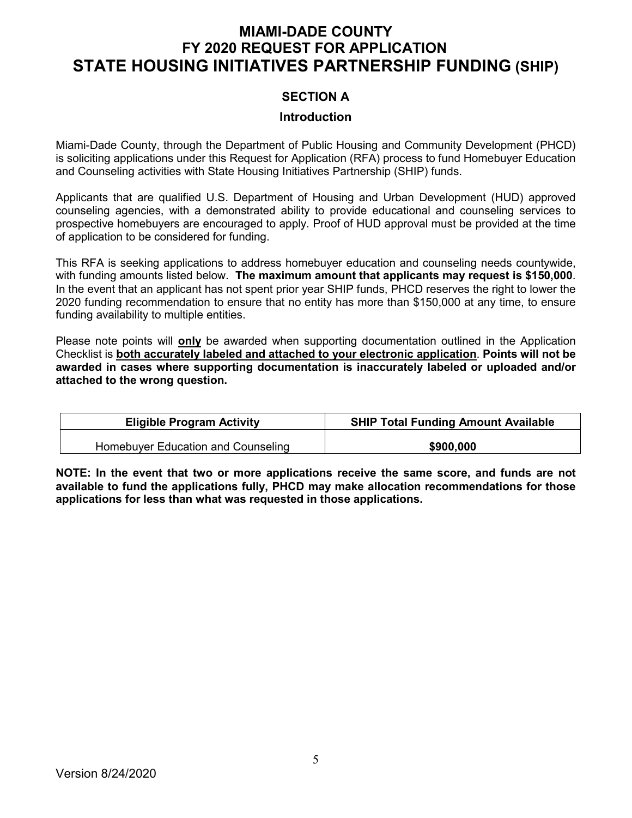# **MIAMI-DADE COUNTY FY 2020 REQUEST FOR APPLICATION STATE HOUSING INITIATIVES PARTNERSHIP FUNDING (SHIP)**

### **SECTION A**

#### **Introduction**

Miami-Dade County, through the Department of Public Housing and Community Development (PHCD) is soliciting applications under this Request for Application (RFA) process to fund Homebuyer Education and Counseling activities with State Housing Initiatives Partnership (SHIP) funds.

Applicants that are qualified U.S. Department of Housing and Urban Development (HUD) approved counseling agencies, with a demonstrated ability to provide educational and counseling services to prospective homebuyers are encouraged to apply. Proof of HUD approval must be provided at the time of application to be considered for funding.

This RFA is seeking applications to address homebuyer education and counseling needs countywide, with funding amounts listed below. **The maximum amount that applicants may request is \$150,000**. In the event that an applicant has not spent prior year SHIP funds, PHCD reserves the right to lower the 2020 funding recommendation to ensure that no entity has more than \$150,000 at any time, to ensure funding availability to multiple entities.

Please note points will **only** be awarded when supporting documentation outlined in the Application Checklist is **both accurately labeled and attached to your electronic application**. **Points will not be awarded in cases where supporting documentation is inaccurately labeled or uploaded and/or attached to the wrong question.** 

| <b>Eligible Program Activity</b>   | <b>SHIP Total Funding Amount Available</b> |
|------------------------------------|--------------------------------------------|
| Homebuyer Education and Counseling | \$900,000                                  |

**NOTE: In the event that two or more applications receive the same score, and funds are not available to fund the applications fully, PHCD may make allocation recommendations for those applications for less than what was requested in those applications.**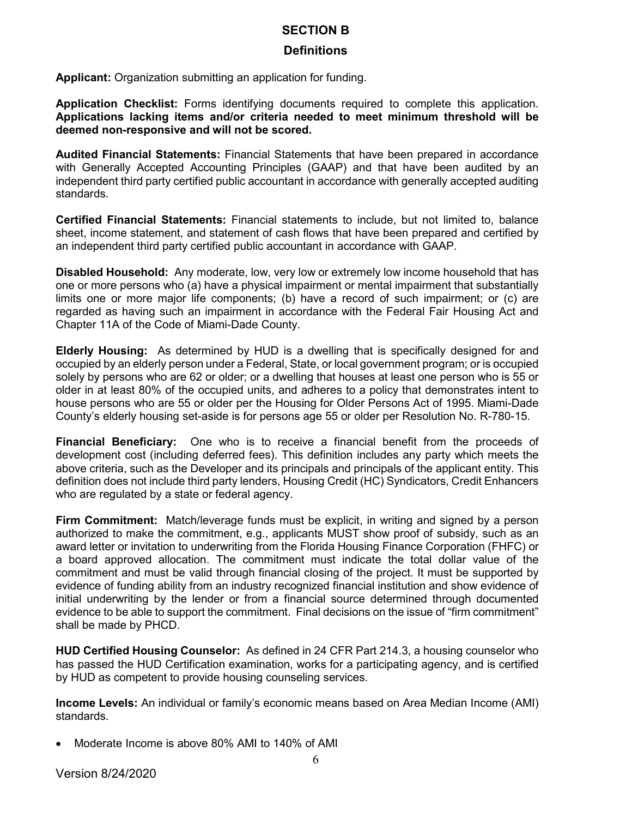#### **SECTION B**

#### **Definitions**

**Applicant:** Organization submitting an application for funding.

**Application Checklist:** Forms identifying documents required to complete this application. **Applications lacking items and/or criteria needed to meet minimum threshold will be deemed non-responsive and will not be scored.** 

**Audited Financial Statements:** Financial Statements that have been prepared in accordance with Generally Accepted Accounting Principles (GAAP) and that have been audited by an independent third party certified public accountant in accordance with generally accepted auditing standards.

**Certified Financial Statements:** Financial statements to include, but not limited to, balance sheet, income statement, and statement of cash flows that have been prepared and certified by an independent third party certified public accountant in accordance with GAAP.

**Disabled Household:** Any moderate, low, very low or extremely low income household that has one or more persons who (a) have a physical impairment or mental impairment that substantially limits one or more major life components; (b) have a record of such impairment; or (c) are regarded as having such an impairment in accordance with the Federal Fair Housing Act and Chapter 11A of the Code of Miami-Dade County.

**Elderly Housing:** As determined by HUD is a dwelling that is specifically designed for and occupied by an elderly person under a Federal, State, or local government program; or is occupied solely by persons who are 62 or older; or a dwelling that houses at least one person who is 55 or older in at least 80% of the occupied units, and adheres to a policy that demonstrates intent to house persons who are 55 or older per the Housing for Older Persons Act of 1995. Miami-Dade County's elderly housing set-aside is for persons age 55 or older per Resolution No. R-780-15.

**Financial Beneficiary:** One who is to receive a financial benefit from the proceeds of development cost (including deferred fees). This definition includes any party which meets the above criteria, such as the Developer and its principals and principals of the applicant entity. This definition does not include third party lenders, Housing Credit (HC) Syndicators, Credit Enhancers who are regulated by a state or federal agency.

**Firm Commitment:** Match/leverage funds must be explicit, in writing and signed by a person authorized to make the commitment, e.g., applicants MUST show proof of subsidy, such as an award letter or invitation to underwriting from the Florida Housing Finance Corporation (FHFC) or a board approved allocation. The commitment must indicate the total dollar value of the commitment and must be valid through financial closing of the project. It must be supported by evidence of funding ability from an industry recognized financial institution and show evidence of initial underwriting by the lender or from a financial source determined through documented evidence to be able to support the commitment. Final decisions on the issue of "firm commitment" shall be made by PHCD.

**HUD Certified Housing Counselor:** As defined in 24 CFR Part 214.3, a housing counselor who has passed the HUD Certification examination, works for a participating agency, and is certified by HUD as competent to provide housing counseling services.

**Income Levels:** An individual or family's economic means based on Area Median Income (AMI) standards.

• Moderate Income is above 80% AMI to 140% of AMI

Version 8/24/2020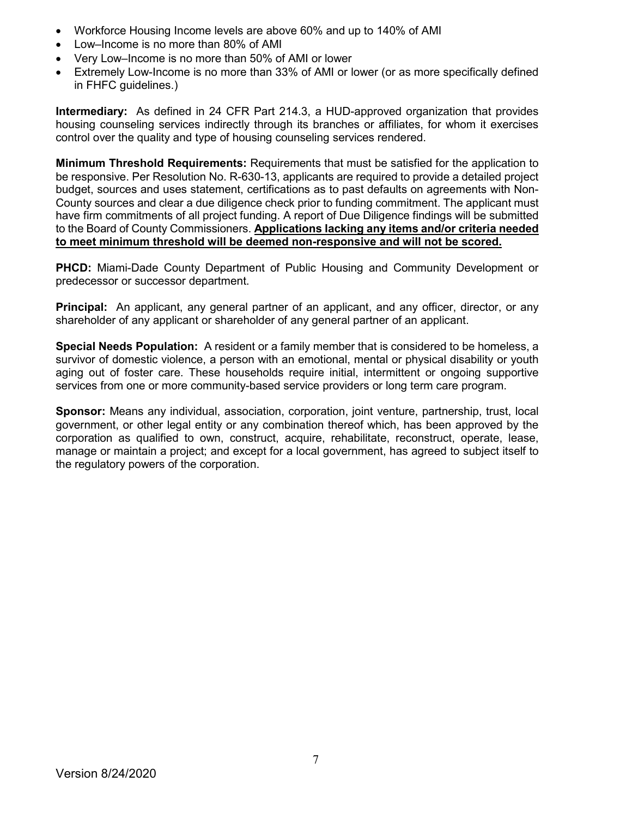- Workforce Housing Income levels are above 60% and up to 140% of AMI
- Low–Income is no more than 80% of AMI
- Very Low–Income is no more than 50% of AMI or lower
- Extremely Low-Income is no more than 33% of AMI or lower (or as more specifically defined in FHFC guidelines.)

**Intermediary:** As defined in 24 CFR Part 214.3, a HUD-approved organization that provides housing counseling services indirectly through its branches or affiliates, for whom it exercises control over the quality and type of housing counseling services rendered.

**Minimum Threshold Requirements:** Requirements that must be satisfied for the application to be responsive. Per Resolution No. R-630-13, applicants are required to provide a detailed project budget, sources and uses statement, certifications as to past defaults on agreements with Non-County sources and clear a due diligence check prior to funding commitment. The applicant must have firm commitments of all project funding. A report of Due Diligence findings will be submitted to the Board of County Commissioners. **Applications lacking any items and/or criteria needed to meet minimum threshold will be deemed non-responsive and will not be scored.** 

**PHCD:** Miami-Dade County Department of Public Housing and Community Development or predecessor or successor department.

**Principal:** An applicant, any general partner of an applicant, and any officer, director, or any shareholder of any applicant or shareholder of any general partner of an applicant.

**Special Needs Population:** A resident or a family member that is considered to be homeless, a survivor of domestic violence, a person with an emotional, mental or physical disability or youth aging out of foster care. These households require initial, intermittent or ongoing supportive services from one or more community-based service providers or long term care program.

**Sponsor:** Means any individual, association, corporation, joint venture, partnership, trust, local government, or other legal entity or any combination thereof which, has been approved by the corporation as qualified to own, construct, acquire, rehabilitate, reconstruct, operate, lease, manage or maintain a project; and except for a local government, has agreed to subject itself to the regulatory powers of the corporation.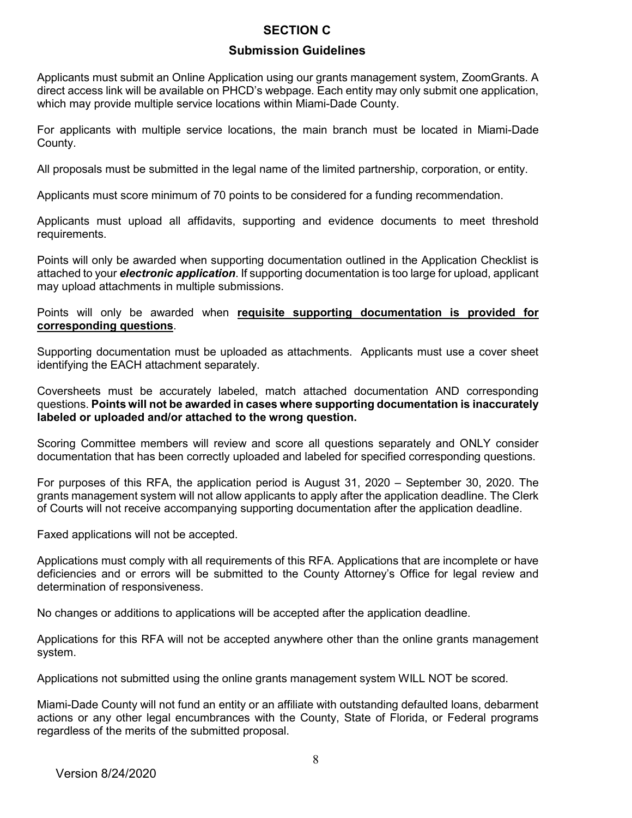## **SECTION C**

### **Submission Guidelines**

Applicants must submit an Online Application using our grants management system, ZoomGrants. A direct access link will be available on PHCD's webpage. Each entity may only submit one application, which may provide multiple service locations within Miami-Dade County.

For applicants with multiple service locations, the main branch must be located in Miami-Dade County.

All proposals must be submitted in the legal name of the limited partnership, corporation, or entity.

Applicants must score minimum of 70 points to be considered for a funding recommendation.

Applicants must upload all affidavits, supporting and evidence documents to meet threshold requirements.

Points will only be awarded when supporting documentation outlined in the Application Checklist is attached to your *electronic application*. If supporting documentation is too large for upload, applicant may upload attachments in multiple submissions.

#### Points will only be awarded when **requisite supporting documentation is provided for corresponding questions**.

Supporting documentation must be uploaded as attachments. Applicants must use a cover sheet identifying the EACH attachment separately.

Coversheets must be accurately labeled, match attached documentation AND corresponding questions. **Points will not be awarded in cases where supporting documentation is inaccurately labeled or uploaded and/or attached to the wrong question.**

Scoring Committee members will review and score all questions separately and ONLY consider documentation that has been correctly uploaded and labeled for specified corresponding questions.

For purposes of this RFA, the application period is August 31, 2020 – September 30, 2020. The grants management system will not allow applicants to apply after the application deadline. The Clerk of Courts will not receive accompanying supporting documentation after the application deadline.

Faxed applications will not be accepted.

Applications must comply with all requirements of this RFA. Applications that are incomplete or have deficiencies and or errors will be submitted to the County Attorney's Office for legal review and determination of responsiveness.

No changes or additions to applications will be accepted after the application deadline.

Applications for this RFA will not be accepted anywhere other than the online grants management system.

Applications not submitted using the online grants management system WILL NOT be scored.

Miami-Dade County will not fund an entity or an affiliate with outstanding defaulted loans, debarment actions or any other legal encumbrances with the County, State of Florida, or Federal programs regardless of the merits of the submitted proposal.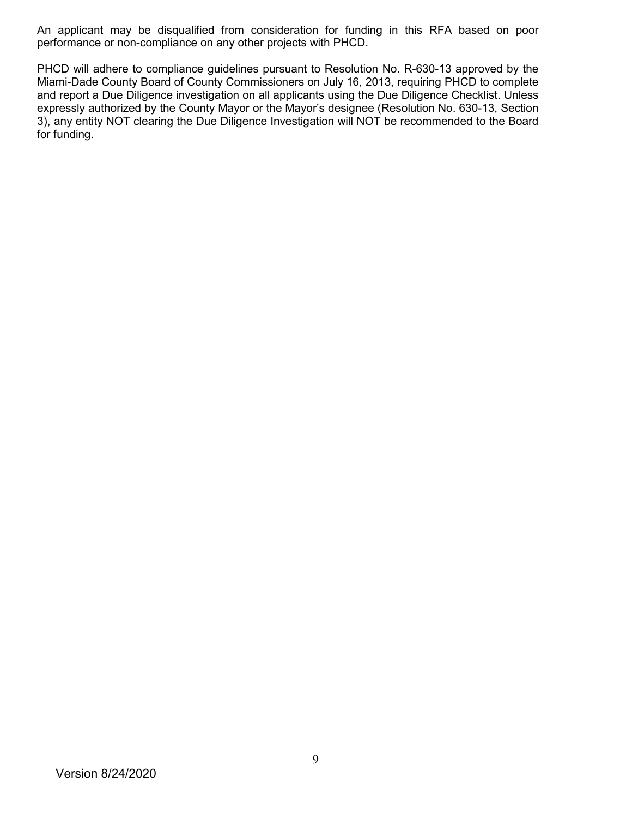An applicant may be disqualified from consideration for funding in this RFA based on poor performance or non-compliance on any other projects with PHCD.

PHCD will adhere to compliance guidelines pursuant to Resolution No. R-630-13 approved by the Miami-Dade County Board of County Commissioners on July 16, 2013, requiring PHCD to complete and report a Due Diligence investigation on all applicants using the Due Diligence Checklist. Unless expressly authorized by the County Mayor or the Mayor's designee (Resolution No. 630-13, Section 3), any entity NOT clearing the Due Diligence Investigation will NOT be recommended to the Board for funding.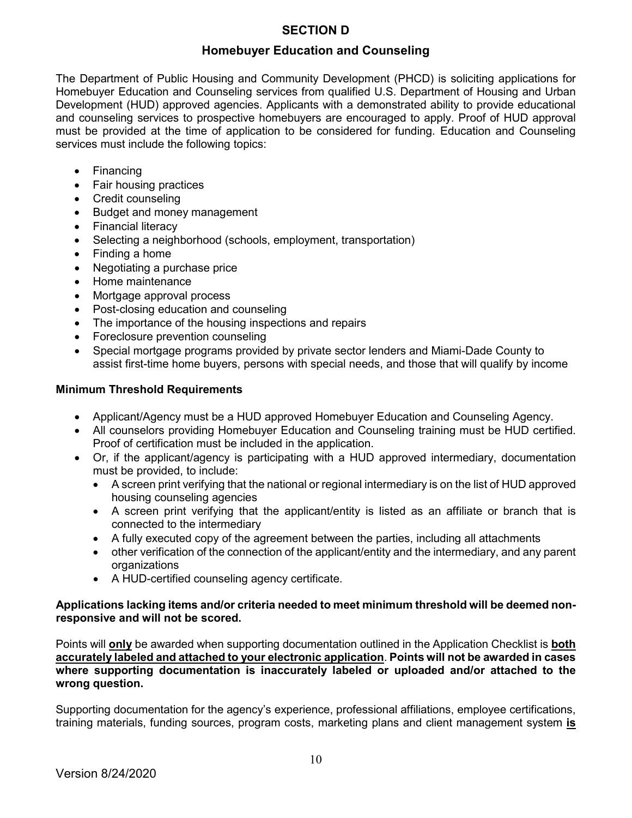# **SECTION D**

## **Homebuyer Education and Counseling**

The Department of Public Housing and Community Development (PHCD) is soliciting applications for Homebuyer Education and Counseling services from qualified U.S. Department of Housing and Urban Development (HUD) approved agencies. Applicants with a demonstrated ability to provide educational and counseling services to prospective homebuyers are encouraged to apply. Proof of HUD approval must be provided at the time of application to be considered for funding. Education and Counseling services must include the following topics:

- Financing
- Fair housing practices
- Credit counseling
- Budget and money management
- Financial literacy
- Selecting a neighborhood (schools, employment, transportation)
- Finding a home
- Negotiating a purchase price
- Home maintenance
- Mortgage approval process
- Post-closing education and counseling
- The importance of the housing inspections and repairs
- Foreclosure prevention counseling
- Special mortgage programs provided by private sector lenders and Miami-Dade County to assist first-time home buyers, persons with special needs, and those that will qualify by income

#### **Minimum Threshold Requirements**

- Applicant/Agency must be a HUD approved Homebuyer Education and Counseling Agency.
- All counselors providing Homebuyer Education and Counseling training must be HUD certified. Proof of certification must be included in the application.
- Or, if the applicant/agency is participating with a HUD approved intermediary, documentation must be provided, to include:
	- A screen print verifying that the national or regional intermediary is on the list of HUD approved housing counseling agencies
	- A screen print verifying that the applicant/entity is listed as an affiliate or branch that is connected to the intermediary
	- A fully executed copy of the agreement between the parties, including all attachments
	- other verification of the connection of the applicant/entity and the intermediary, and any parent organizations
	- A HUD-certified counseling agency certificate.

#### **Applications lacking items and/or criteria needed to meet minimum threshold will be deemed nonresponsive and will not be scored.**

Points will **only** be awarded when supporting documentation outlined in the Application Checklist is **both accurately labeled and attached to your electronic application**. **Points will not be awarded in cases where supporting documentation is inaccurately labeled or uploaded and/or attached to the wrong question.** 

Supporting documentation for the agency's experience, professional affiliations, employee certifications, training materials, funding sources, program costs, marketing plans and client management system **is**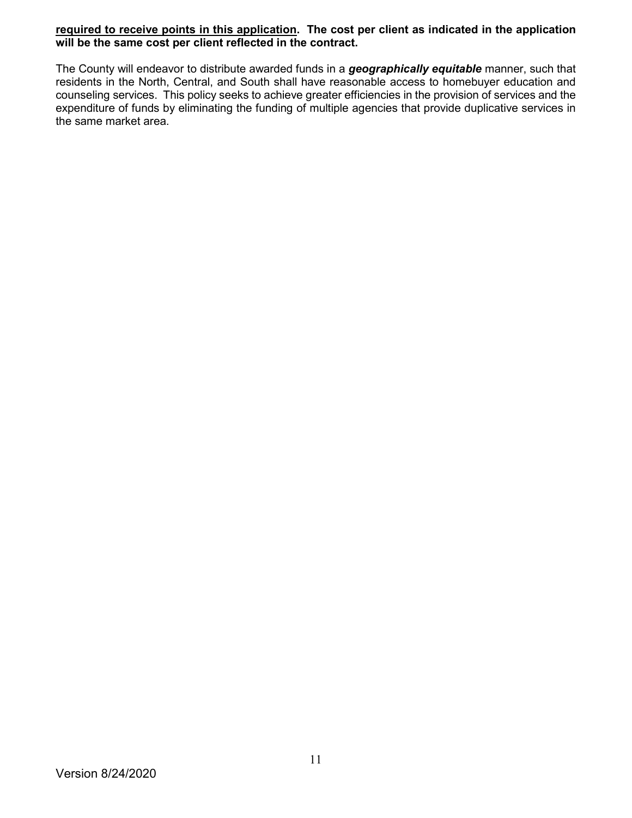#### **required to receive points in this application. The cost per client as indicated in the application will be the same cost per client reflected in the contract.**

The County will endeavor to distribute awarded funds in a *geographically equitable* manner, such that residents in the North, Central, and South shall have reasonable access to homebuyer education and counseling services. This policy seeks to achieve greater efficiencies in the provision of services and the expenditure of funds by eliminating the funding of multiple agencies that provide duplicative services in the same market area.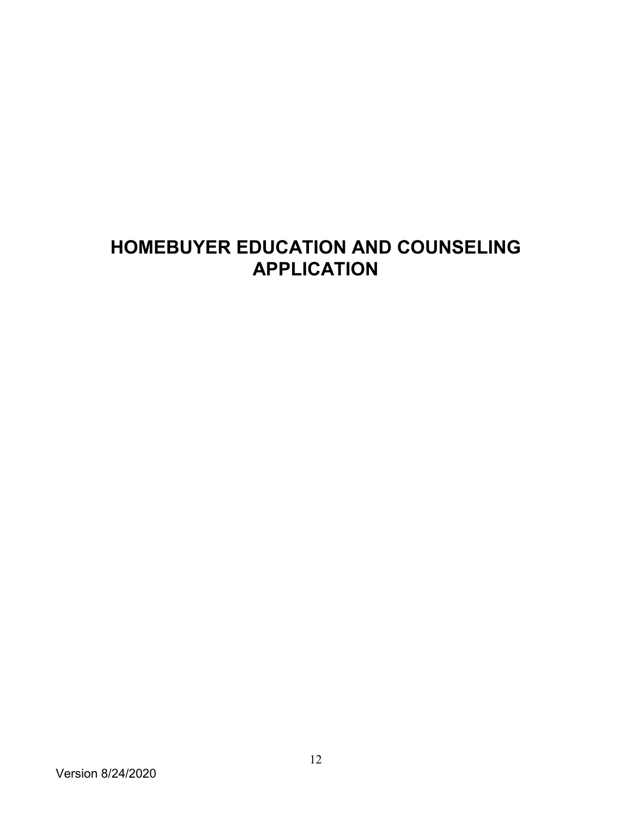# **HOMEBUYER EDUCATION AND COUNSELING APPLICATION**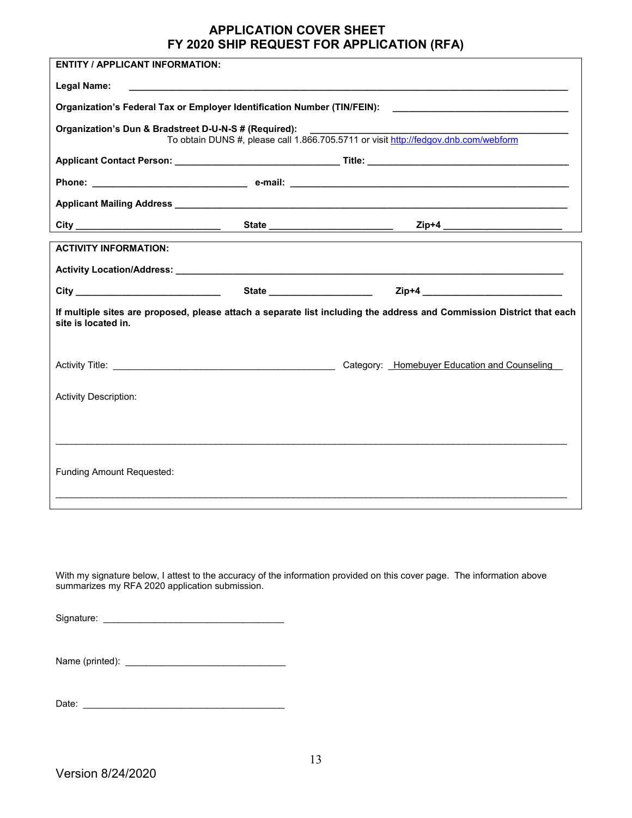## **APPLICATION COVER SHEET FY 2020 SHIP REQUEST FOR APPLICATION (RFA)**

| <b>ENTITY / APPLICANT INFORMATION:</b>                                                                                                                                                                                               |                                                                                                                                                                                                                                      |                                                                                                                       |
|--------------------------------------------------------------------------------------------------------------------------------------------------------------------------------------------------------------------------------------|--------------------------------------------------------------------------------------------------------------------------------------------------------------------------------------------------------------------------------------|-----------------------------------------------------------------------------------------------------------------------|
| Legal Name:                                                                                                                                                                                                                          | <u> 1989 - Johann Harry Harry Harry Harry Harry Harry Harry Harry Harry Harry Harry Harry Harry Harry Harry Harry Harry Harry Harry Harry Harry Harry Harry Harry Harry Harry Harry Harry Harry Harry Harry Harry Harry Harry Ha</u> |                                                                                                                       |
|                                                                                                                                                                                                                                      |                                                                                                                                                                                                                                      |                                                                                                                       |
| Organization's Dun & Bradstreet D-U-N-S # (Required):                                                                                                                                                                                |                                                                                                                                                                                                                                      | To obtain DUNS #, please call 1.866.705.5711 or visit http://fedgov.dnb.com/webform                                   |
|                                                                                                                                                                                                                                      |                                                                                                                                                                                                                                      |                                                                                                                       |
|                                                                                                                                                                                                                                      |                                                                                                                                                                                                                                      |                                                                                                                       |
| Applicant Mailing Address <b>Manual Accepts</b> 2014 12:00 12:00 12:00 12:00 12:00 12:00 12:00 12:00 12:00 12:00 12:00                                                                                                               |                                                                                                                                                                                                                                      |                                                                                                                       |
|                                                                                                                                                                                                                                      |                                                                                                                                                                                                                                      |                                                                                                                       |
| <b>ACTIVITY INFORMATION:</b>                                                                                                                                                                                                         |                                                                                                                                                                                                                                      |                                                                                                                       |
|                                                                                                                                                                                                                                      |                                                                                                                                                                                                                                      |                                                                                                                       |
| City <u>and the contract of the contract of the contract of the contract of the contract of the contract of the contract of the contract of the contract of the contract of the contract of the contract of the contract of the </u> |                                                                                                                                                                                                                                      |                                                                                                                       |
| site is located in.                                                                                                                                                                                                                  |                                                                                                                                                                                                                                      | If multiple sites are proposed, please attach a separate list including the address and Commission District that each |
|                                                                                                                                                                                                                                      |                                                                                                                                                                                                                                      | Category: Homebuyer Education and Counseling                                                                          |
| <b>Activity Description:</b>                                                                                                                                                                                                         |                                                                                                                                                                                                                                      |                                                                                                                       |
|                                                                                                                                                                                                                                      |                                                                                                                                                                                                                                      |                                                                                                                       |
|                                                                                                                                                                                                                                      |                                                                                                                                                                                                                                      |                                                                                                                       |
| Funding Amount Requested:                                                                                                                                                                                                            |                                                                                                                                                                                                                                      |                                                                                                                       |
|                                                                                                                                                                                                                                      |                                                                                                                                                                                                                                      |                                                                                                                       |

With my signature below, I attest to the accuracy of the information provided on this cover page. The information above summarizes my RFA 2020 application submission.

Signature: \_\_\_\_\_\_\_\_\_\_\_\_\_\_\_\_\_\_\_\_\_\_\_\_\_\_\_\_\_\_\_\_\_\_\_

| Name (printed): |  |
|-----------------|--|
|                 |  |

Date: \_\_\_\_\_\_\_\_\_\_\_\_\_\_\_\_\_\_\_\_\_\_\_\_\_\_\_\_\_\_\_\_\_\_\_\_\_\_\_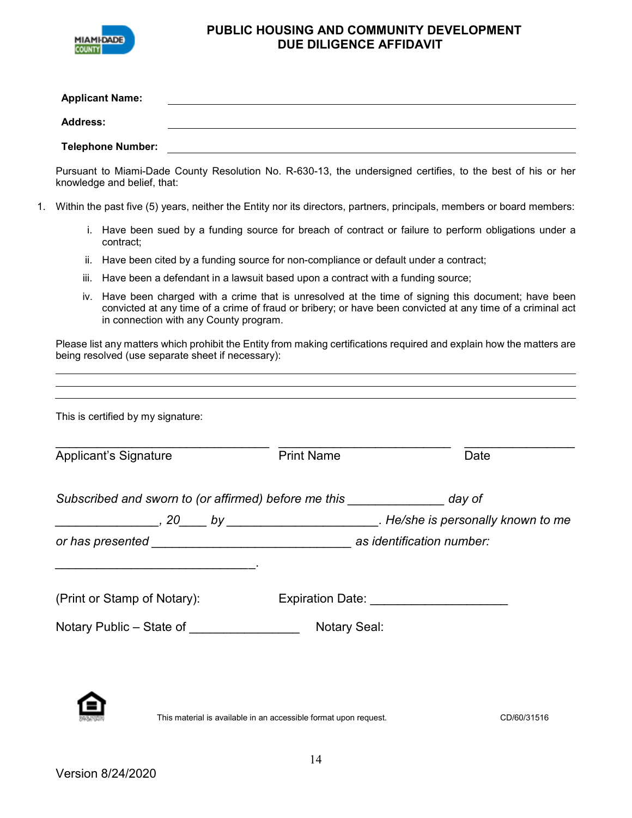

#### **PUBLIC HOUSING AND COMMUNITY DEVELOPMENT DUE DILIGENCE AFFIDAVIT**

| <b>Applicant Name:</b>   |  |
|--------------------------|--|
| <b>Address:</b>          |  |
| <b>Telephone Number:</b> |  |

Pursuant to Miami-Dade County Resolution No. R-630-13, the undersigned certifies, to the best of his or her knowledge and belief, that:

- 1. Within the past five (5) years, neither the Entity nor its directors, partners, principals, members or board members:
	- i. Have been sued by a funding source for breach of contract or failure to perform obligations under a contract;
	- ii. Have been cited by a funding source for non-compliance or default under a contract;
	- iii. Have been a defendant in a lawsuit based upon a contract with a funding source;
	- iv. Have been charged with a crime that is unresolved at the time of signing this document; have been convicted at any time of a crime of fraud or bribery; or have been convicted at any time of a criminal act in connection with any County program.

Please list any matters which prohibit the Entity from making certifications required and explain how the matters are being resolved (use separate sheet if necessary):

| This is certified by my signature:                                            |                                          |      |
|-------------------------------------------------------------------------------|------------------------------------------|------|
| Applicant's Signature                                                         | <b>Print Name</b>                        | Date |
| Subscribed and sworn to (or affirmed) before me this _________________ day of |                                          |      |
|                                                                               |                                          |      |
|                                                                               |                                          |      |
|                                                                               |                                          |      |
| (Print or Stamp of Notary):                                                   | Expiration Date: _______________________ |      |
|                                                                               |                                          |      |
|                                                                               |                                          |      |
|                                                                               |                                          |      |
|                                                                               |                                          |      |
|                                                                               |                                          |      |

**This material is available in an accessible format upon request.** CD/60/31516 CD/60/31516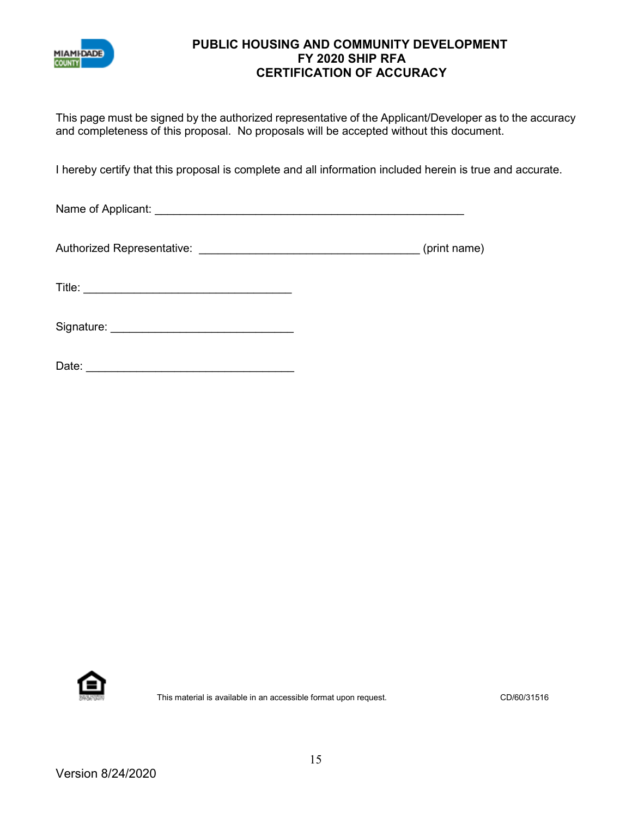

#### **PUBLIC HOUSING AND COMMUNITY DEVELOPMENT FY 2020 SHIP RFA CERTIFICATION OF ACCURACY**

This page must be signed by the authorized representative of the Applicant/Developer as to the accuracy and completeness of this proposal. No proposals will be accepted without this document.

I hereby certify that this proposal is complete and all information included herein is true and accurate.

Name of Applicant: \_\_\_\_\_\_\_\_\_\_\_\_\_\_\_\_\_\_\_\_\_\_\_\_\_\_\_\_\_\_\_\_\_\_\_\_\_\_\_\_\_\_\_\_\_\_\_\_\_

Authorized Representative: \_\_\_\_\_\_\_\_\_\_\_\_\_\_\_\_\_\_\_\_\_\_\_\_\_\_\_\_\_\_\_\_\_\_\_ (print name)

Title: \_\_\_\_\_\_\_\_\_\_\_\_\_\_\_\_\_\_\_\_\_\_\_\_\_\_\_\_\_\_\_\_\_

Signature: \_\_\_\_\_\_\_\_\_\_\_\_\_\_\_\_\_\_\_\_\_\_\_\_\_\_\_\_\_



This material is available in an accessible format upon request. CD/60/31516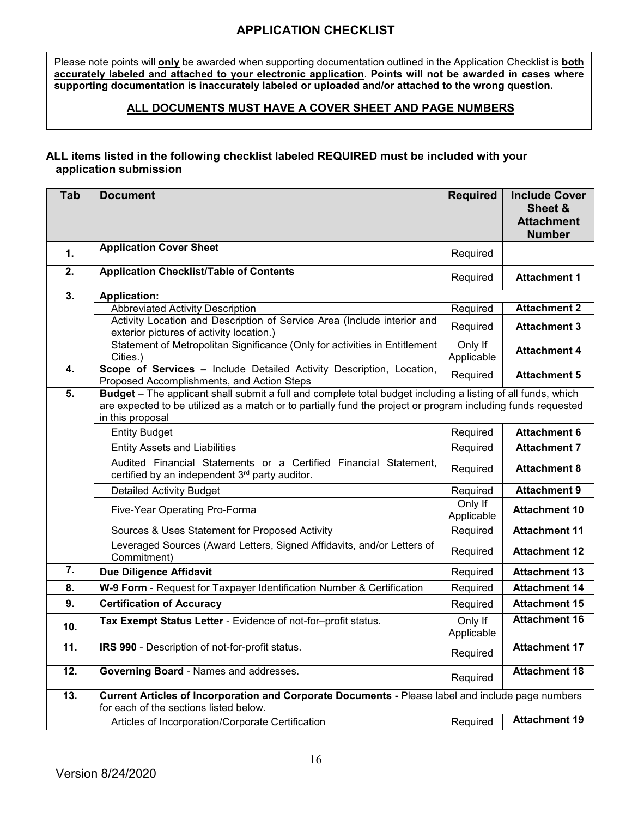# **APPLICATION CHECKLIST**

Please note points will **only** be awarded when supporting documentation outlined in the Application Checklist is **both accurately labeled and attached to your electronic application**. **Points will not be awarded in cases where supporting documentation is inaccurately labeled or uploaded and/or attached to the wrong question.** 

#### **ALL DOCUMENTS MUST HAVE A COVER SHEET AND PAGE NUMBERS**

#### **ALL items listed in the following checklist labeled REQUIRED must be included with your application submission**

| Tab              | <b>Document</b>                                                                                                                                                                                                                                  | <b>Required</b>       | <b>Include Cover</b><br>Sheet &<br><b>Attachment</b><br><b>Number</b> |
|------------------|--------------------------------------------------------------------------------------------------------------------------------------------------------------------------------------------------------------------------------------------------|-----------------------|-----------------------------------------------------------------------|
| 1.               | <b>Application Cover Sheet</b>                                                                                                                                                                                                                   | Required              |                                                                       |
| 2.               | <b>Application Checklist/Table of Contents</b>                                                                                                                                                                                                   | Required              | <b>Attachment 1</b>                                                   |
| 3.               | <b>Application:</b>                                                                                                                                                                                                                              |                       |                                                                       |
|                  | <b>Abbreviated Activity Description</b>                                                                                                                                                                                                          | Required              | <b>Attachment 2</b>                                                   |
|                  | Activity Location and Description of Service Area (Include interior and<br>exterior pictures of activity location.)                                                                                                                              | Required              | <b>Attachment 3</b>                                                   |
|                  | Statement of Metropolitan Significance (Only for activities in Entitlement<br>Cities.)                                                                                                                                                           | Only If<br>Applicable | <b>Attachment 4</b>                                                   |
| 4.               | Scope of Services - Include Detailed Activity Description, Location,<br>Proposed Accomplishments, and Action Steps                                                                                                                               | Required              | <b>Attachment 5</b>                                                   |
| 5.               | Budget - The applicant shall submit a full and complete total budget including a listing of all funds, which<br>are expected to be utilized as a match or to partially fund the project or program including funds requested<br>in this proposal |                       |                                                                       |
|                  | <b>Entity Budget</b>                                                                                                                                                                                                                             | Required              | <b>Attachment 6</b>                                                   |
|                  | <b>Entity Assets and Liabilities</b>                                                                                                                                                                                                             | Required              | <b>Attachment 7</b>                                                   |
|                  | Audited Financial Statements or a Certified Financial Statement,<br>certified by an independent 3rd party auditor.                                                                                                                               | Required              | <b>Attachment 8</b>                                                   |
|                  | <b>Detailed Activity Budget</b>                                                                                                                                                                                                                  | Required              | <b>Attachment 9</b>                                                   |
|                  | Five-Year Operating Pro-Forma                                                                                                                                                                                                                    | Only If<br>Applicable | <b>Attachment 10</b>                                                  |
|                  | Sources & Uses Statement for Proposed Activity                                                                                                                                                                                                   | Required              | <b>Attachment 11</b>                                                  |
|                  | Leveraged Sources (Award Letters, Signed Affidavits, and/or Letters of<br>Commitment)                                                                                                                                                            | Required              | <b>Attachment 12</b>                                                  |
| $\overline{7}$ . | <b>Due Diligence Affidavit</b>                                                                                                                                                                                                                   | Required              | <b>Attachment 13</b>                                                  |
| 8.               | W-9 Form - Request for Taxpayer Identification Number & Certification                                                                                                                                                                            | Required              | <b>Attachment 14</b>                                                  |
| 9.               | <b>Certification of Accuracy</b>                                                                                                                                                                                                                 | Required              | <b>Attachment 15</b>                                                  |
| 10.              | Tax Exempt Status Letter - Evidence of not-for-profit status.                                                                                                                                                                                    | Only If<br>Applicable | <b>Attachment 16</b>                                                  |
| 11.              | IRS 990 - Description of not-for-profit status.                                                                                                                                                                                                  | Required              | <b>Attachment 17</b>                                                  |
| 12.              | <b>Governing Board - Names and addresses.</b>                                                                                                                                                                                                    | Required              | <b>Attachment 18</b>                                                  |
| 13.              | Current Articles of Incorporation and Corporate Documents - Please label and include page numbers<br>for each of the sections listed below.                                                                                                      |                       |                                                                       |
|                  | Articles of Incorporation/Corporate Certification                                                                                                                                                                                                | Required              | <b>Attachment 19</b>                                                  |
|                  |                                                                                                                                                                                                                                                  |                       |                                                                       |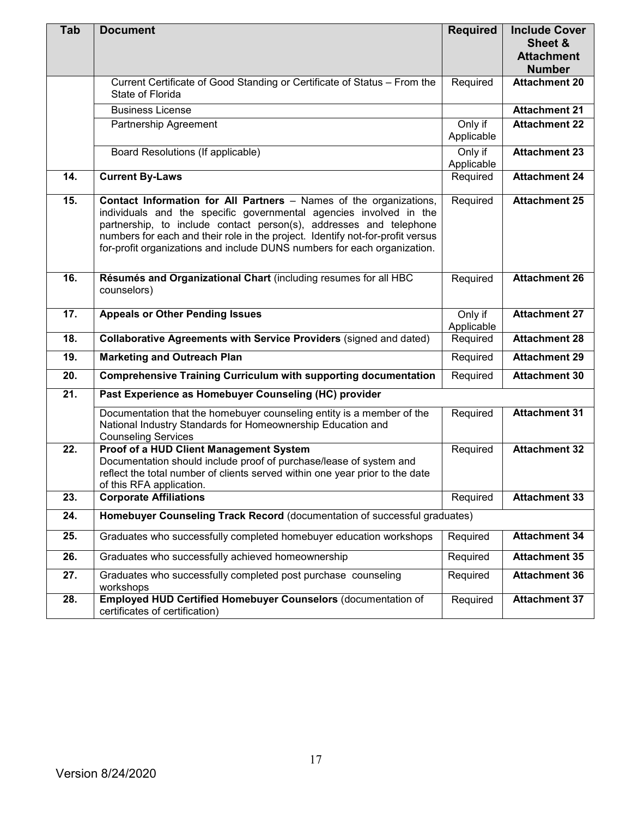| Tab | <b>Document</b>                                                                                                                                                                                                                                                                                                                                                              | <b>Required</b>       | <b>Include Cover</b><br>Sheet &<br><b>Attachment</b><br><b>Number</b> |
|-----|------------------------------------------------------------------------------------------------------------------------------------------------------------------------------------------------------------------------------------------------------------------------------------------------------------------------------------------------------------------------------|-----------------------|-----------------------------------------------------------------------|
|     | Current Certificate of Good Standing or Certificate of Status - From the<br>State of Florida                                                                                                                                                                                                                                                                                 | Required              | <b>Attachment 20</b>                                                  |
|     | <b>Business License</b>                                                                                                                                                                                                                                                                                                                                                      |                       | <b>Attachment 21</b>                                                  |
|     | Partnership Agreement                                                                                                                                                                                                                                                                                                                                                        | Only if<br>Applicable | <b>Attachment 22</b>                                                  |
|     | Board Resolutions (If applicable)                                                                                                                                                                                                                                                                                                                                            | Only if<br>Applicable | <b>Attachment 23</b>                                                  |
| 14. | <b>Current By-Laws</b>                                                                                                                                                                                                                                                                                                                                                       | Required              | <b>Attachment 24</b>                                                  |
| 15. | Contact Information for All Partners - Names of the organizations,<br>individuals and the specific governmental agencies involved in the<br>partnership, to include contact person(s), addresses and telephone<br>numbers for each and their role in the project. Identify not-for-profit versus<br>for-profit organizations and include DUNS numbers for each organization. | Required              | <b>Attachment 25</b>                                                  |
| 16. | Résumés and Organizational Chart (including resumes for all HBC<br>counselors)                                                                                                                                                                                                                                                                                               | Required              | <b>Attachment 26</b>                                                  |
| 17. | <b>Appeals or Other Pending Issues</b>                                                                                                                                                                                                                                                                                                                                       | Only if<br>Applicable | <b>Attachment 27</b>                                                  |
| 18. | Collaborative Agreements with Service Providers (signed and dated)                                                                                                                                                                                                                                                                                                           | Required              | <b>Attachment 28</b>                                                  |
| 19. | <b>Marketing and Outreach Plan</b>                                                                                                                                                                                                                                                                                                                                           | Required              | <b>Attachment 29</b>                                                  |
| 20. | <b>Comprehensive Training Curriculum with supporting documentation</b>                                                                                                                                                                                                                                                                                                       | Required              | <b>Attachment 30</b>                                                  |
| 21. | Past Experience as Homebuyer Counseling (HC) provider                                                                                                                                                                                                                                                                                                                        |                       |                                                                       |
|     | Documentation that the homebuyer counseling entity is a member of the<br>National Industry Standards for Homeownership Education and<br><b>Counseling Services</b>                                                                                                                                                                                                           | Required              | <b>Attachment 31</b>                                                  |
| 22. | Proof of a HUD Client Management System<br>Documentation should include proof of purchase/lease of system and<br>reflect the total number of clients served within one year prior to the date<br>of this RFA application.                                                                                                                                                    | Required              | <b>Attachment 32</b>                                                  |
| 23. | <b>Corporate Affiliations</b>                                                                                                                                                                                                                                                                                                                                                | Required              | <b>Attachment 33</b>                                                  |
| 24. | Homebuyer Counseling Track Record (documentation of successful graduates)                                                                                                                                                                                                                                                                                                    |                       |                                                                       |
| 25. | Graduates who successfully completed homebuyer education workshops                                                                                                                                                                                                                                                                                                           | Required              | <b>Attachment 34</b>                                                  |
| 26. | Graduates who successfully achieved homeownership                                                                                                                                                                                                                                                                                                                            | Required              | <b>Attachment 35</b>                                                  |
| 27. | Graduates who successfully completed post purchase counseling<br>workshops                                                                                                                                                                                                                                                                                                   | Required              | <b>Attachment 36</b>                                                  |
| 28. | Employed HUD Certified Homebuyer Counselors (documentation of<br>certificates of certification)                                                                                                                                                                                                                                                                              | Required              | <b>Attachment 37</b>                                                  |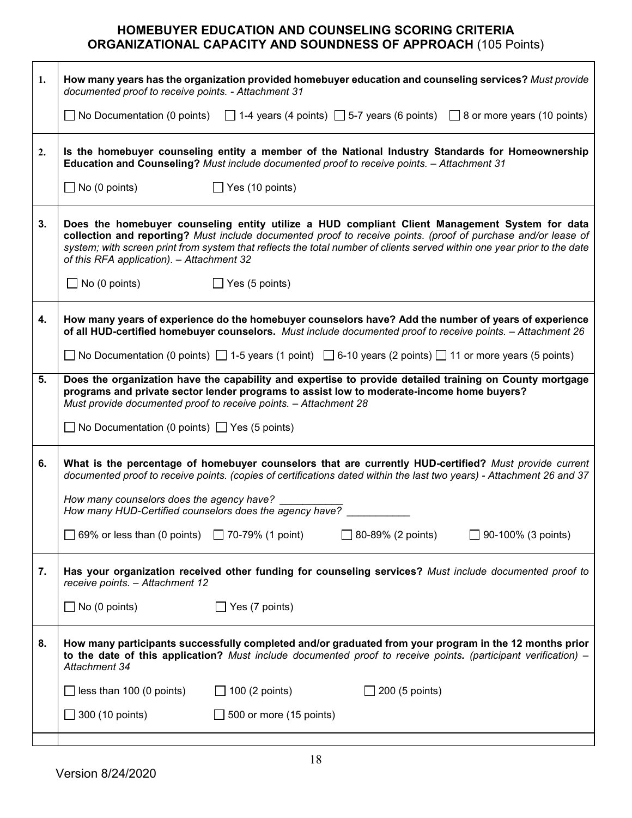# **HOMEBUYER EDUCATION AND COUNSELING SCORING CRITERIA ORGANIZATIONAL CAPACITY AND SOUNDNESS OF APPROACH** (105 Points)

| No Documentation (0 points) $\Box$ 1-4 years (4 points) $\Box$ 5-7 years (6 points) $\Box$ 8 or more years (10 points)<br>Is the homebuyer counseling entity a member of the National Industry Standards for Homeownership<br>Does the homebuyer counseling entity utilize a HUD compliant Client Management System for data<br>collection and reporting? Must include documented proof to receive points. (proof of purchase and/or lease of<br>system; with screen print from system that reflects the total number of clients served within one year prior to the date<br>How many years of experience do the homebuyer counselors have? Add the number of years of experience |
|-----------------------------------------------------------------------------------------------------------------------------------------------------------------------------------------------------------------------------------------------------------------------------------------------------------------------------------------------------------------------------------------------------------------------------------------------------------------------------------------------------------------------------------------------------------------------------------------------------------------------------------------------------------------------------------|
|                                                                                                                                                                                                                                                                                                                                                                                                                                                                                                                                                                                                                                                                                   |
|                                                                                                                                                                                                                                                                                                                                                                                                                                                                                                                                                                                                                                                                                   |
|                                                                                                                                                                                                                                                                                                                                                                                                                                                                                                                                                                                                                                                                                   |
|                                                                                                                                                                                                                                                                                                                                                                                                                                                                                                                                                                                                                                                                                   |
|                                                                                                                                                                                                                                                                                                                                                                                                                                                                                                                                                                                                                                                                                   |
| of all HUD-certified homebuyer counselors. Must include documented proof to receive points. - Attachment 26                                                                                                                                                                                                                                                                                                                                                                                                                                                                                                                                                                       |
| No Documentation (0 points) $\Box$ 1-5 years (1 point) $\Box$ 6-10 years (2 points) $\Box$ 11 or more years (5 points)                                                                                                                                                                                                                                                                                                                                                                                                                                                                                                                                                            |
| Does the organization have the capability and expertise to provide detailed training on County mortgage                                                                                                                                                                                                                                                                                                                                                                                                                                                                                                                                                                           |
|                                                                                                                                                                                                                                                                                                                                                                                                                                                                                                                                                                                                                                                                                   |
| What is the percentage of homebuyer counselors that are currently HUD-certified? Must provide current<br>documented proof to receive points. (copies of certifications dated within the last two years) - Attachment 26 and 37                                                                                                                                                                                                                                                                                                                                                                                                                                                    |
|                                                                                                                                                                                                                                                                                                                                                                                                                                                                                                                                                                                                                                                                                   |
| $\Box$ 90-100% (3 points)                                                                                                                                                                                                                                                                                                                                                                                                                                                                                                                                                                                                                                                         |
| Has your organization received other funding for counseling services? Must include documented proof to                                                                                                                                                                                                                                                                                                                                                                                                                                                                                                                                                                            |
|                                                                                                                                                                                                                                                                                                                                                                                                                                                                                                                                                                                                                                                                                   |
| How many participants successfully completed and/or graduated from your program in the 12 months prior<br>to the date of this application? Must include documented proof to receive points. (participant verification) -                                                                                                                                                                                                                                                                                                                                                                                                                                                          |
|                                                                                                                                                                                                                                                                                                                                                                                                                                                                                                                                                                                                                                                                                   |
|                                                                                                                                                                                                                                                                                                                                                                                                                                                                                                                                                                                                                                                                                   |
|                                                                                                                                                                                                                                                                                                                                                                                                                                                                                                                                                                                                                                                                                   |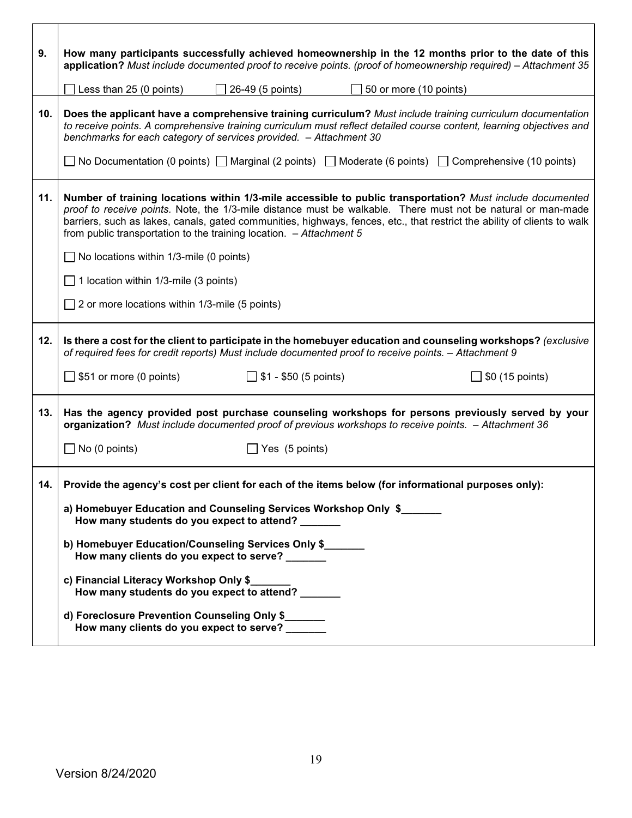| 9.  | How many participants successfully achieved homeownership in the 12 months prior to the date of this                                                                                                                                                                                                                                                                                                                           |
|-----|--------------------------------------------------------------------------------------------------------------------------------------------------------------------------------------------------------------------------------------------------------------------------------------------------------------------------------------------------------------------------------------------------------------------------------|
|     | application? Must include documented proof to receive points. (proof of homeownership required) – Attachment 35                                                                                                                                                                                                                                                                                                                |
|     | Less than 25 (0 points)<br>$\Box$ 26-49 (5 points)<br>$\Box$ 50 or more (10 points)                                                                                                                                                                                                                                                                                                                                            |
| 10. | Does the applicant have a comprehensive training curriculum? Must include training curriculum documentation<br>to receive points. A comprehensive training curriculum must reflect detailed course content, learning objectives and<br>benchmarks for each category of services provided. - Attachment 30                                                                                                                      |
|     | ◯ No Documentation (0 points) ◯ Marginal (2 points) ◯ Moderate (6 points) ◯ Comprehensive (10 points)                                                                                                                                                                                                                                                                                                                          |
| 11. | Number of training locations within 1/3-mile accessible to public transportation? Must include documented<br>proof to receive points. Note, the 1/3-mile distance must be walkable. There must not be natural or man-made<br>barriers, such as lakes, canals, gated communities, highways, fences, etc., that restrict the ability of clients to walk<br>from public transportation to the training location. $-$ Attachment 5 |
|     | $\Box$ No locations within 1/3-mile (0 points)                                                                                                                                                                                                                                                                                                                                                                                 |
|     | $\Box$ 1 location within 1/3-mile (3 points)                                                                                                                                                                                                                                                                                                                                                                                   |
|     | $\Box$ 2 or more locations within 1/3-mile (5 points)                                                                                                                                                                                                                                                                                                                                                                          |
| 12. | Is there a cost for the client to participate in the homebuyer education and counseling workshops? (exclusive<br>of required fees for credit reports) Must include documented proof to receive points. - Attachment 9                                                                                                                                                                                                          |
|     | $\Box$ \$51 or more (0 points)<br>$\Box$ \$1 - \$50 (5 points)<br>$\Box$ \$0 (15 points)                                                                                                                                                                                                                                                                                                                                       |
| 13. | Has the agency provided post purchase counseling workshops for persons previously served by your<br>organization? Must include documented proof of previous workshops to receive points. - Attachment 36                                                                                                                                                                                                                       |
|     | $\Box$ No (0 points)<br>$\Box$ Yes (5 points)                                                                                                                                                                                                                                                                                                                                                                                  |
| 14. | Provide the agency's cost per client for each of the items below (for informational purposes only):                                                                                                                                                                                                                                                                                                                            |
|     | a) Homebuyer Education and Counseling Services Workshop Only \$<br>How many students do you expect to attend?                                                                                                                                                                                                                                                                                                                  |
|     | b) Homebuyer Education/Counseling Services Only \$<br>How many clients do you expect to serve?                                                                                                                                                                                                                                                                                                                                 |
|     | c) Financial Literacy Workshop Only \$_<br>How many students do you expect to attend?                                                                                                                                                                                                                                                                                                                                          |
|     | d) Foreclosure Prevention Counseling Only \$<br>How many clients do you expect to serve?                                                                                                                                                                                                                                                                                                                                       |

 $\mathbf{r}$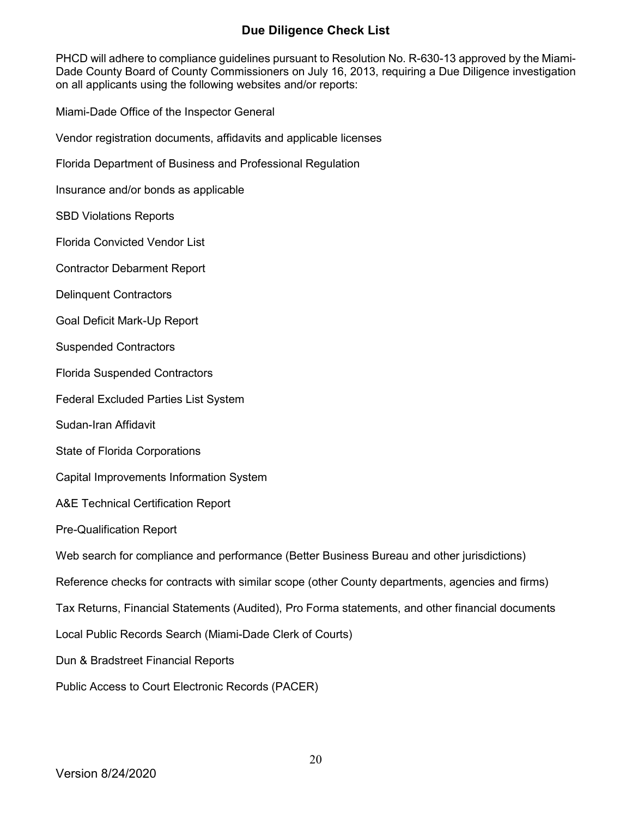### **Due Diligence Check List**

PHCD will adhere to compliance guidelines pursuant to Resolution No. R-630-13 approved by the Miami-Dade County Board of County Commissioners on July 16, 2013, requiring a Due Diligence investigation on all applicants using the following websites and/or reports:

Miami-Dade Office of the Inspector General

Vendor registration documents, affidavits and applicable licenses

Florida Department of Business and Professional Regulation

Insurance and/or bonds as applicable

SBD Violations Reports

Florida Convicted Vendor List

Contractor Debarment Report

Delinquent Contractors

Goal Deficit Mark-Up Report

Suspended Contractors

Florida Suspended Contractors

Federal Excluded Parties List System

Sudan-Iran Affidavit

State of Florida Corporations

Capital Improvements Information System

A&E Technical Certification Report

Pre-Qualification Report

Web search for compliance and performance (Better Business Bureau and other jurisdictions)

Reference checks for contracts with similar scope (other County departments, agencies and firms)

Tax Returns, Financial Statements (Audited), Pro Forma statements, and other financial documents

Local Public Records Search (Miami-Dade Clerk of Courts)

Dun & Bradstreet Financial Reports

Public Access to Court Electronic Records (PACER)